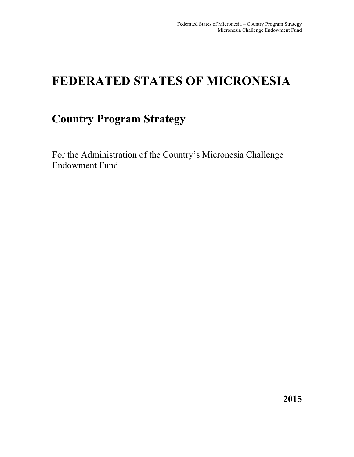# **FEDERATED STATES OF MICRONESIA**

# **Country Program Strategy**

For the Administration of the Country's Micronesia Challenge Endowment Fund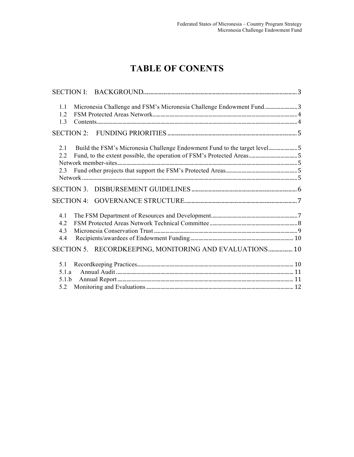# **TABLE OF CONENTS**

| Micronesia Challenge and FSM's Micronesia Challenge Endowment Fund3<br>1.1<br>1.2<br>1.3      |  |
|-----------------------------------------------------------------------------------------------|--|
|                                                                                               |  |
| Build the FSM's Micronesia Challenge Endowment Fund to the target level5<br>2.1<br>2.2<br>2.3 |  |
|                                                                                               |  |
| <b>SECTION 4:</b>                                                                             |  |
| 4.1<br>4.2<br>4.3<br>4.4                                                                      |  |
| SECTION 5. RECORDKEEPING, MONITORING AND EVALUATIONS 10                                       |  |
| 5.1<br>5.1.a<br>5.1.b<br>5.2                                                                  |  |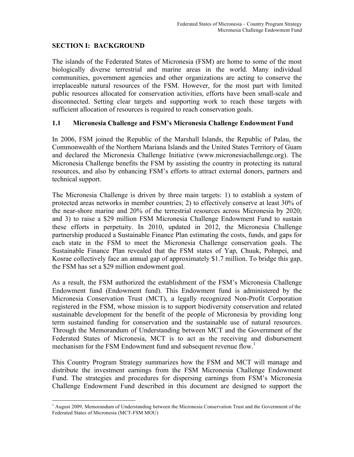## **SECTION I: BACKGROUND**

!!!!!!!!!!!!!!!!!!!!!!!!!!!!!!!!!!!!!!!!!!!!!!!!!!!!!!!

The islands of the Federated States of Micronesia (FSM) are home to some of the most biologically diverse terrestrial and marine areas in the world. Many individual communities, government agencies and other organizations are acting to conserve the irreplaceable natural resources of the FSM. However, for the most part with limited public resources allocated for conservation activities, efforts have been small-scale and disconnected. Setting clear targets and supporting work to reach those targets with sufficient allocation of resources is required to reach conservation goals.

#### **1.1 Micronesia Challenge and FSM's Micronesia Challenge Endowment Fund**

In 2006, FSM joined the Republic of the Marshall Islands, the Republic of Palau, the Commonwealth of the Northern Mariana Islands and the United States Territory of Guam and declared the Micronesia Challenge Initiative (www.micronesiachallenge.org). The Micronesia Challenge benefits the FSM by assisting the country in protecting its natural resources, and also by enhancing FSM's efforts to attract external donors, partners and technical support.

The Micronesia Challenge is driven by three main targets: 1) to establish a system of protected areas networks in member countries; 2) to effectively conserve at least 30% of the near-shore marine and 20% of the terrestrial resources across Micronesia by 2020; and 3) to raise a \$29 million FSM Micronesia Challenge Endowment Fund to sustain these efforts in perpetuity. In 2010, updated in 2012, the Micronesia Challenge partnership produced a Sustainable Finance Plan estimating the costs, funds, and gaps for each state in the FSM to meet the Micronesia Challenge conservation goals. The Sustainable Finance Plan revealed that the FSM states of Yap, Chuuk, Pohnpei, and Kosrae collectively face an annual gap of approximately \$1.7 million. To bridge this gap, the FSM has set a \$29 million endowment goal.

As a result, the FSM authorized the establishment of the FSM's Micronesia Challenge Endowment fund (Endowment fund). This Endowment fund is administered by the Micronesia Conservation Trust (MCT), a legally recognized Non-Profit Corporation registered in the FSM, whose mission is to support biodiversity conservation and related sustainable development for the benefit of the people of Micronesia by providing long term sustained funding for conservation and the sustainable use of natural resources. Through the Memorandum of Understanding between MCT and the Government of the Federated States of Micronesia, MCT is to act as the receiving and disbursement mechanism for the FSM Endowment fund and subsequent revenue flow.<sup>1</sup>

This Country Program Strategy summarizes how the FSM and MCT will manage and distribute the investment earnings from the FSM Micronesia Challenge Endowment Fund. The strategies and procedures for dispersing earnings from FSM's Micronesia Challenge Endowment Fund described in this document are designed to support the

<sup>&</sup>lt;sup>1</sup> August 2009, Memorandum of Understanding between the Micronesia Conservation Trust and the Government of the Federated States of Micronesia (MCT-FSM MOU)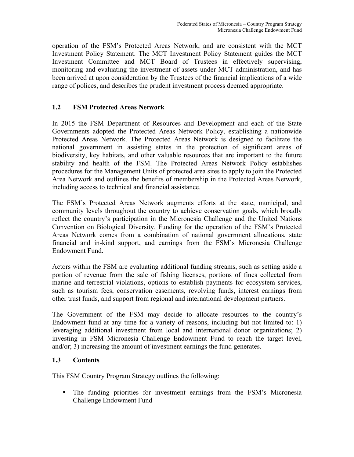operation of the FSM's Protected Areas Network, and are consistent with the MCT Investment Policy Statement. The MCT Investment Policy Statement guides the MCT Investment Committee and MCT Board of Trustees in effectively supervising, monitoring and evaluating the investment of assets under MCT administration, and has been arrived at upon consideration by the Trustees of the financial implications of a wide range of polices, and describes the prudent investment process deemed appropriate.

# **1.2 FSM Protected Areas Network**

In 2015 the FSM Department of Resources and Development and each of the State Governments adopted the Protected Areas Network Policy, establishing a nationwide Protected Areas Network. The Protected Areas Network is designed to facilitate the national government in assisting states in the protection of significant areas of biodiversity, key habitats, and other valuable resources that are important to the future stability and health of the FSM. The Protected Areas Network Policy establishes procedures for the Management Units of protected area sites to apply to join the Protected Area Network and outlines the benefits of membership in the Protected Areas Network, including access to technical and financial assistance.

The FSM's Protected Areas Network augments efforts at the state, municipal, and community levels throughout the country to achieve conservation goals, which broadly reflect the country's participation in the Micronesia Challenge and the United Nations Convention on Biological Diversity. Funding for the operation of the FSM's Protected Areas Network comes from a combination of national government allocations, state financial and in-kind support, and earnings from the FSM's Micronesia Challenge Endowment Fund.

Actors within the FSM are evaluating additional funding streams, such as setting aside a portion of revenue from the sale of fishing licenses, portions of fines collected from marine and terrestrial violations, options to establish payments for ecosystem services, such as tourism fees, conservation easements, revolving funds, interest earnings from other trust funds, and support from regional and international development partners.

The Government of the FSM may decide to allocate resources to the country's Endowment fund at any time for a variety of reasons, including but not limited to: 1) leveraging additional investment from local and international donor organizations; 2) investing in FSM Micronesia Challenge Endowment Fund to reach the target level, and/or; 3) increasing the amount of investment earnings the fund generates.

# **1.3 Contents**

This FSM Country Program Strategy outlines the following:

• The funding priorities for investment earnings from the FSM's Micronesia Challenge Endowment Fund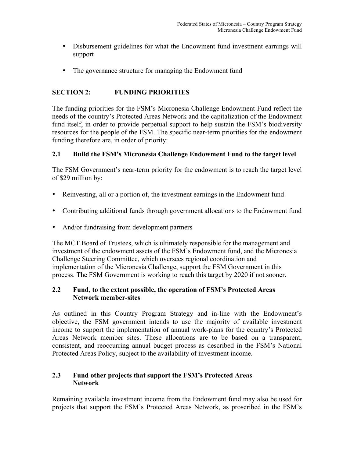- Disbursement guidelines for what the Endowment fund investment earnings will support
- The governance structure for managing the Endowment fund

# **SECTION 2: FUNDING PRIORITIES**

The funding priorities for the FSM's Micronesia Challenge Endowment Fund reflect the needs of the country's Protected Areas Network and the capitalization of the Endowment fund itself, in order to provide perpetual support to help sustain the FSM's biodiversity resources for the people of the FSM. The specific near-term priorities for the endowment funding therefore are, in order of priority:

# **2.1 Build the FSM's Micronesia Challenge Endowment Fund to the target level**

The FSM Government's near-term priority for the endowment is to reach the target level of \$29 million by:

- Reinvesting, all or a portion of, the investment earnings in the Endowment fund
- Contributing additional funds through government allocations to the Endowment fund
- And/or fundraising from development partners

The MCT Board of Trustees, which is ultimately responsible for the management and investment of the endowment assets of the FSM's Endowment fund, and the Micronesia Challenge Steering Committee, which oversees regional coordination and implementation of the Micronesia Challenge, support the FSM Government in this process. The FSM Government is working to reach this target by 2020 if not sooner.

## **2.2 Fund, to the extent possible, the operation of FSM's Protected Areas Network member-sites**

As outlined in this Country Program Strategy and in-line with the Endowment's objective, the FSM government intends to use the majority of available investment income to support the implementation of annual work-plans for the country's Protected Areas Network member sites. These allocations are to be based on a transparent, consistent, and reoccurring annual budget process as described in the FSM's National Protected Areas Policy, subject to the availability of investment income.

# **2.3 Fund other projects that support the FSM's Protected Areas Network**

Remaining available investment income from the Endowment fund may also be used for projects that support the FSM's Protected Areas Network, as proscribed in the FSM's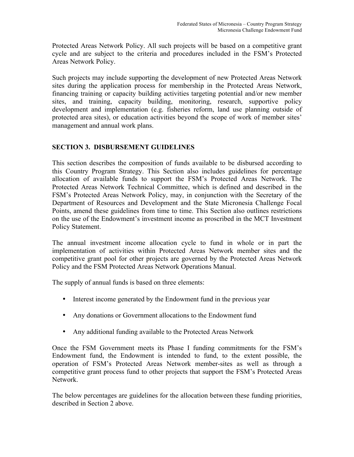Protected Areas Network Policy. All such projects will be based on a competitive grant cycle and are subject to the criteria and procedures included in the FSM's Protected Areas Network Policy.

Such projects may include supporting the development of new Protected Areas Network sites during the application process for membership in the Protected Areas Network, financing training or capacity building activities targeting potential and/or new member sites, and training, capacity building, monitoring, research, supportive policy development and implementation (e.g. fisheries reform, land use planning outside of protected area sites), or education activities beyond the scope of work of member sites' management and annual work plans.

# **SECTION 3. DISBURSEMENT GUIDELINES**

This section describes the composition of funds available to be disbursed according to this Country Program Strategy. This Section also includes guidelines for percentage allocation of available funds to support the FSM's Protected Areas Network. The Protected Areas Network Technical Committee, which is defined and described in the FSM's Protected Areas Network Policy, may, in conjunction with the Secretary of the Department of Resources and Development and the State Micronesia Challenge Focal Points, amend these guidelines from time to time. This Section also outlines restrictions on the use of the Endowment's investment income as proscribed in the MCT Investment Policy Statement.

The annual investment income allocation cycle to fund in whole or in part the implementation of activities within Protected Areas Network member sites and the competitive grant pool for other projects are governed by the Protected Areas Network Policy and the FSM Protected Areas Network Operations Manual.

The supply of annual funds is based on three elements:

- Interest income generated by the Endowment fund in the previous year
- Any donations or Government allocations to the Endowment fund
- Any additional funding available to the Protected Areas Network

Once the FSM Government meets its Phase I funding commitments for the FSM's Endowment fund, the Endowment is intended to fund, to the extent possible, the operation of FSM's Protected Areas Network member-sites as well as through a competitive grant process fund to other projects that support the FSM's Protected Areas Network.

The below percentages are guidelines for the allocation between these funding priorities, described in Section 2 above.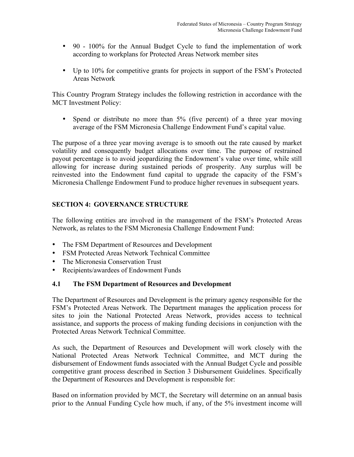- 90 100% for the Annual Budget Cycle to fund the implementation of work according to workplans for Protected Areas Network member sites
- Up to 10% for competitive grants for projects in support of the FSM's Protected Areas Network

This Country Program Strategy includes the following restriction in accordance with the MCT Investment Policy:

• Spend or distribute no more than 5% (five percent) of a three year moving average of the FSM Micronesia Challenge Endowment Fund's capital value.

The purpose of a three year moving average is to smooth out the rate caused by market volatility and consequently budget allocations over time. The purpose of restrained payout percentage is to avoid jeopardizing the Endowment's value over time, while still allowing for increase during sustained periods of prosperity. Any surplus will be reinvested into the Endowment fund capital to upgrade the capacity of the FSM's Micronesia Challenge Endowment Fund to produce higher revenues in subsequent years.

# **SECTION 4: GOVERNANCE STRUCTURE**

The following entities are involved in the management of the FSM's Protected Areas Network, as relates to the FSM Micronesia Challenge Endowment Fund:

- The FSM Department of Resources and Development
- FSM Protected Areas Network Technical Committee
- The Micronesia Conservation Trust
- Recipients/awardees of Endowment Funds

# **4.1 The FSM Department of Resources and Development**

The Department of Resources and Development is the primary agency responsible for the FSM's Protected Areas Network. The Department manages the application process for sites to join the National Protected Areas Network, provides access to technical assistance, and supports the process of making funding decisions in conjunction with the Protected Areas Network Technical Committee.

As such, the Department of Resources and Development will work closely with the National Protected Areas Network Technical Committee, and MCT during the disbursement of Endowment funds associated with the Annual Budget Cycle and possible competitive grant process described in Section 3 Disbursement Guidelines. Specifically the Department of Resources and Development is responsible for:

Based on information provided by MCT, the Secretary will determine on an annual basis prior to the Annual Funding Cycle how much, if any, of the 5% investment income will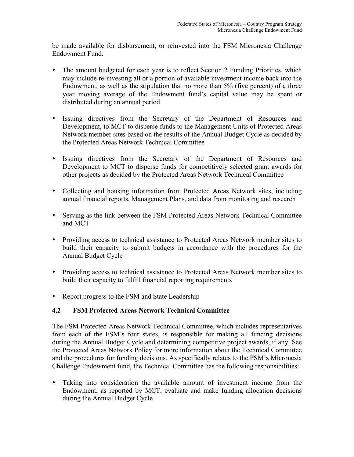be made available for disbursement, or reinvested into the FSM Micronesia Challenge Endowment Fund.

- The amount budgeted for each year is to reflect Section 2 Funding Priorities, which may include re-investing all or a portion of available investment income back into the Endowment, as well as the stipulation that no more than 5% (five percent) of a three year moving average of the Endowment fund's capital value may be spent or distributed during an annual period
- Issuing directives from the Secretary of the Department of Resources and Development, to MCT to disperse funds to the Management Units of Protected Areas Network member sites based on the results of the Annual Budget Cycle as decided by the Protected Areas Network Technical Committee
- Issuing directives from the Secretary of the Department of Resources and Development to MCT to disperse funds for competitively selected grant awards for other projects as decided by the Protected Areas Network Technical Committee
- Collecting and housing information from Protected Areas Network sites, including annual financial reports, Management Plans, and data from monitoring and research
- Serving as the link between the FSM Protected Areas Network Technical Committee and MCT
- Providing access to technical assistance to Protected Areas Network member sites to build their capacity to submit budgets in accordance with the procedures for the Annual Budget Cycle
- Providing access to technical assistance to Protected Areas Network member sites to build their capacity to fulfill financial reporting requirements
- Report progress to the FSM and State Leadership

# **4.2 FSM Protected Areas Network Technical Committee**

The FSM Protected Areas Network Technical Committee, which includes representatives from each of the FSM's four states, is responsible for making all funding decisions during the Annual Budget Cycle and determining competitive project awards, if any. See the Protected Areas Network Policy for more information about the Technical Committee and the procedures for funding decisions. As specifically relates to the FSM's Micronesia Challenge Endowment fund, the Technical Committee has the following responsibilities:

• Taking into consideration the available amount of investment income from the Endowment, as reported by MCT, evaluate and make funding allocation decisions during the Annual Budget Cycle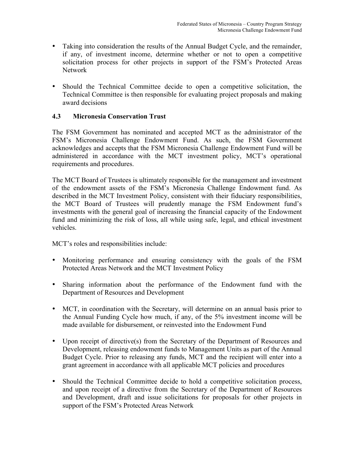- Taking into consideration the results of the Annual Budget Cycle, and the remainder, if any, of investment income, determine whether or not to open a competitive solicitation process for other projects in support of the FSM's Protected Areas Network
- Should the Technical Committee decide to open a competitive solicitation, the Technical Committee is then responsible for evaluating project proposals and making award decisions

## **4.3 Micronesia Conservation Trust**

The FSM Government has nominated and accepted MCT as the administrator of the FSM's Micronesia Challenge Endowment Fund. As such, the FSM Government acknowledges and accepts that the FSM Micronesia Challenge Endowment Fund will be administered in accordance with the MCT investment policy, MCT's operational requirements and procedures.

The MCT Board of Trustees is ultimately responsible for the management and investment of the endowment assets of the FSM's Micronesia Challenge Endowment fund. As described in the MCT Investment Policy, consistent with their fiduciary responsibilities, the MCT Board of Trustees will prudently manage the FSM Endowment fund's investments with the general goal of increasing the financial capacity of the Endowment fund and minimizing the risk of loss, all while using safe, legal, and ethical investment vehicles.

MCT's roles and responsibilities include:

- Monitoring performance and ensuring consistency with the goals of the FSM Protected Areas Network and the MCT Investment Policy
- Sharing information about the performance of the Endowment fund with the Department of Resources and Development
- MCT, in coordination with the Secretary, will determine on an annual basis prior to the Annual Funding Cycle how much, if any, of the 5% investment income will be made available for disbursement, or reinvested into the Endowment Fund
- Upon receipt of directive(s) from the Secretary of the Department of Resources and Development, releasing endowment funds to Management Units as part of the Annual Budget Cycle. Prior to releasing any funds, MCT and the recipient will enter into a grant agreement in accordance with all applicable MCT policies and procedures
- Should the Technical Committee decide to hold a competitive solicitation process, and upon receipt of a directive from the Secretary of the Department of Resources and Development, draft and issue solicitations for proposals for other projects in support of the FSM's Protected Areas Network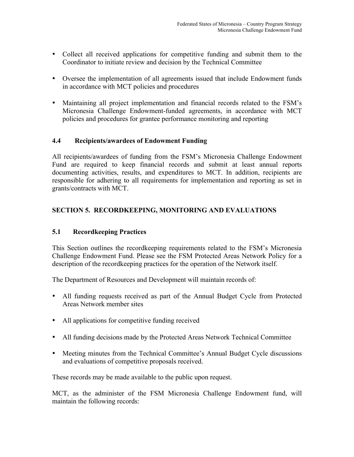- Collect all received applications for competitive funding and submit them to the Coordinator to initiate review and decision by the Technical Committee
- Oversee the implementation of all agreements issued that include Endowment funds in accordance with MCT policies and procedures
- Maintaining all project implementation and financial records related to the FSM's Micronesia Challenge Endowment-funded agreements, in accordance with MCT policies and procedures for grantee performance monitoring and reporting

## **4.4 Recipients/awardees of Endowment Funding**

All recipients/awardees of funding from the FSM's Micronesia Challenge Endowment Fund are required to keep financial records and submit at least annual reports documenting activities, results, and expenditures to MCT. In addition, recipients are responsible for adhering to all requirements for implementation and reporting as set in grants/contracts with MCT.

# **SECTION 5. RECORDKEEPING, MONITORING AND EVALUATIONS**

# **5.1 Recordkeeping Practices**

This Section outlines the recordkeeping requirements related to the FSM's Micronesia Challenge Endowment Fund. Please see the FSM Protected Areas Network Policy for a description of the recordkeeping practices for the operation of the Network itself.

The Department of Resources and Development will maintain records of:

- All funding requests received as part of the Annual Budget Cycle from Protected Areas Network member sites
- All applications for competitive funding received
- All funding decisions made by the Protected Areas Network Technical Committee
- Meeting minutes from the Technical Committee's Annual Budget Cycle discussions and evaluations of competitive proposals received.

These records may be made available to the public upon request.

MCT, as the administer of the FSM Micronesia Challenge Endowment fund, will maintain the following records: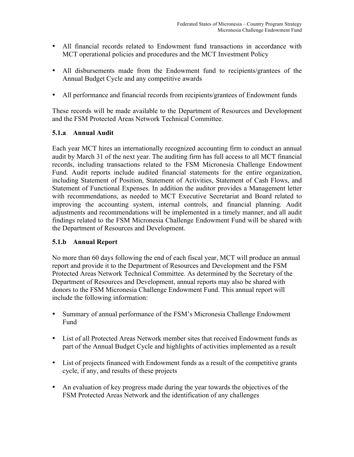- All financial records related to Endowment fund transactions in accordance with MCT operational policies and procedures and the MCT Investment Policy
- All disbursements made from the Endowment fund to recipients/grantees of the Annual Budget Cycle and any competitive awards
- All performance and financial records from recipients/grantees of Endowment funds

These records will be made available to the Department of Resources and Development and the FSM Protected Areas Network Technical Committee.

# **5.1.a Annual Audit**

Each year MCT hires an internationally recognized accounting firm to conduct an annual audit by March 31 of the next year. The auditing firm has full access to all MCT financial records, including transactions related to the FSM Micronesia Challenge Endowment Fund. Audit reports include audited financial statements for the entire organization, including Statement of Position, Statement of Activities, Statement of Cash Flows, and Statement of Functional Expenses. In addition the auditor provides a Management letter with recommendations, as needed to MCT Executive Secretariat and Board related to improving the accounting system, internal controls, and financial planning. Audit adjustments and recommendations will be implemented in a timely manner, and all audit findings related to the FSM Micronesia Challenge Endowment Fund will be shared with the Department of Resources and Development.

# **5.1.b Annual Report**

No more than 60 days following the end of each fiscal year, MCT will produce an annual report and provide it to the Department of Resources and Development and the FSM Protected Areas Network Technical Committee. As determined by the Secretary of the Department of Resources and Development, annual reports may also be shared with donors to the FSM Micronesia Challenge Endowment Fund. This annual report will include the following information:

- Summary of annual performance of the FSM's Micronesia Challenge Endowment Fund
- List of all Protected Areas Network member sites that received Endowment funds as part of the Annual Budget Cycle and highlights of activities implemented as a result
- List of projects financed with Endowment funds as a result of the competitive grants cycle, if any, and results of these projects
- An evaluation of key progress made during the year towards the objectives of the FSM Protected Areas Network and the identification of any challenges